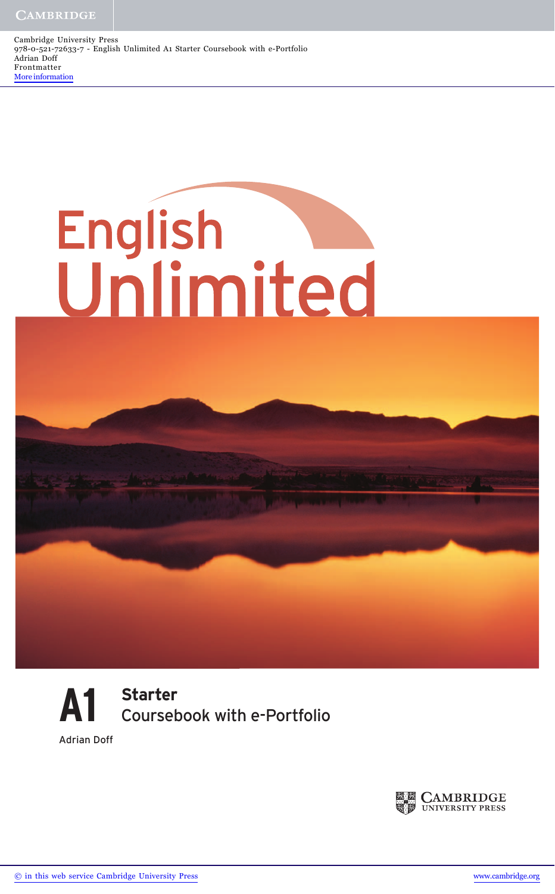Cambridge University Press 978-0-521-72633-7 - English Unlimited A1 Starter Coursebook with e-Portfolio Adrian Doff Frontmatter [More information](http://www.cambridge.org/9780521726337)





Adrian Doff

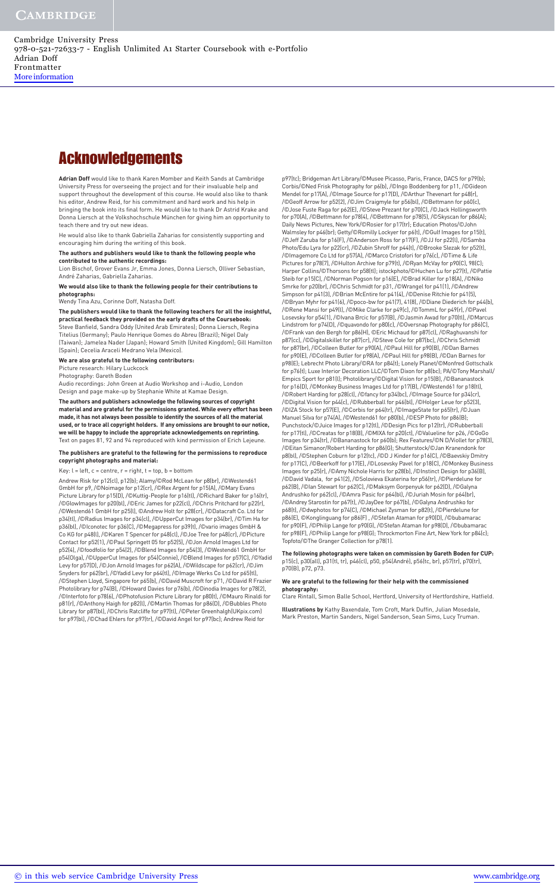### **Acknowledgements**

**Adrian Doff** would like to thank Karen Momber and Keith Sands at Cambridge University Press for overseeing the project and for their invaluable help and support throughout the development of this course. He would also like to thank his editor, Andrew Reid, for his commitment and hard work and his help in bringing the book into its final form. He would like to thank Dr Astrid Krake and Donna Liersch at the Volkshochschule München for giving him an opportunity to teach there and try out new ideas.

He would also like to thank Gabriella Zaharias for consistently supporting and encouraging him during the writing of this book.

**The authors and publishers would like to thank the following people who contributed to the authentic recordings:**

Lion Bischof, Grover Evans Jr, Emma Jones, Donna Liersch, Olliver Sebastian, André Zaharias, Gabriella Zaharias.

**We would also like to thank the following people for their contributions to photographs:**

Wendy Tina Azu, Corinne Doff, Natasha Doff.

**The publishers would like to thank the following teachers for all the insightful, practical feedback they provided on the early drafts of the Coursebook:**  .<br>Steve Banfield, Sandra Oddy (United Arab Emirates); Donna Liersch, Regin Titelius (Germany); Paulo Henrique Gomes do Abreu (Brazil); Nigel Daly (Taiwan); Jamelea Nader (Japan); Howard Smith (United Kingdom); Gill Hamilton (Spain); Cecelia Araceli Medrano Vela (Mexico).

**We are also grateful to the following contributors:**

Picture research: Hilary Luckcock Photography: Gareth Boden

Audio recordings: John Green at Audio Workshop and i-Audio, London Design and page make-up by Stephanie White at Kamae Design.

**The authors and publishers acknowledge the following sources of copyright material and are grateful for the permissions granted. While every effort has been made, it has not always been possible to identify the sources of all the material used, or to trace all copyright holders. If any omissions are brought to our notice, we will be happy to include the appropriate acknowledgements on reprinting.** Text on pages 81, 92 and 94 reproduced with kind permission of Erich Lejeune.

#### **The publishers are grateful to the following for the permissions to reproduce copyright photographs and material:**

Key: l = left, c = centre, r = right, t = top, b = bottom

Andrew Risk for p12(cl), p12(b); Alamy/©Rod McLean for p8(br), /©Westend61 GmbH for p9, /©Noimage for p12(cr), /©Rex Argent for p15(A), /©Mary Evans Picture Library for p15(D), /©Kuttig-People for p16(tl), /©Richard Baker for p16(tr), /©GlowImages for p20(bl), /©Eric James for p22(cl), /©Chris Pritchard for p22(r), /©Westend61 GmbH for p25(l), ©Andrew Holt for p28(cr), /©Datacraft Co. Ltd for p34(tl), /©Radius Images for p34(cl), /©UpperCut Images for p34(br), /©Tim Ha for p36(bl), /©Iconotec for p36(C), /©Megapress for p39(t), /©vario images GmbH & Co KG for p48(l), /©Karen T Spencer for p48(cl), /©Joe Tree for p48(cr), /©Picture Contact for p52(1), /©Paul Springett 05 for p52(5), /©Jon Arnold Images Ltd for p52(4), /©foodfolio for p54(2), /©Blend Images for p54(3), /©Westend61 GmbH for p54(Olga), /©UpperCut Images for p54(Connie), /©Blend Images for p57(C), /©Yadid Levy for p57(D), /©Jon Arnold Images for p62(A), /©Wildscape for p62(cr), /©Jim Snyders for p62(br), /©Yadid Levy for p64(tl), /©Image Werks Co Ltd for p65(tl), /©Stephen Lloyd, Singapore for p65(b), /©David Muscroft for p71, /©David R Frazier Photolibrary for p74(B), /©Howard Davies for p76(b), /©Dinodia Images for p78(2), /©Interfoto for p78(6), /©Photofusion Picture Library for p80(t), /©Mauro Rinaldi for p81(r), /©Anthony Haigh for p82(l), /©Martin Thomas for p86(D), /©Bubbles Photo Library for p87(bl), /©Chris Ratcliffe for p97(tl), /©Peter Greenhalgh(UKpix.com) for p97(bl), /©Chad Ehlers for p97(tr), /©David Angel for p97(bc); Andrew Reid for

p97(tc); Bridgeman Art Library/©Musee Picasso, Paris, France, DACS for p79(b); Corbis/©Ned Frisk Photography for p6(b), /©Ingo Boddenberg for p11, /©Gideon Mendel for p17(A), /©Image Source for p17(D), /©Arthur Thevenart for p48(r), /©Geoff Arrow for p52(2), /©Jim Craigmyle for p56(bl), /©Bettmann for p60(c), /©Jose Fuste Raga for p62(E), /©Steve Prezant for p70(C), /©Jack Hollingsworth for p70(A), /©Bettmann for p78(4), /©Bettmann for p78(5), /©Skyscan for p86(A); Daily News Pictures, New York/©Rosier for p17(tr); Education Photos/©John Walmsley for p46(br); Getty/©Romilly Lockyer for p6(t), /©Gulf Images for p15(t), /©Jeff Zaruba for p16(F), /©Anderson Ross for p17(F), /©JJ for p22(l), /©Samba Photo/Edu Lyra for p22(cr), /©Zubin Shroff for p44(t), /©Brooke Slezak for p52(t), /©Imagemore Co Ltd for p57(A), /©Marco Cristofori for p76(c), /©Time & Life Pictures for p78(7), /©Hulton Archive for p79(t), /©Ryan McVay for p90(C), 98(C); Harper Collins/©Thorsons for p58(tl); istockphoto/©Huchen Lu for p27(t), /©Pattie Steib for p15(C), /©Norman Pogson for p16(E), /©Brad Killer for p18(A), /©Niko Smrke for p20(br), /©Chris Schmidt for p31, /©Wrangel for p41(1), /©Andrew Simpson for p41(3), /©Brian McEntire for p41(4), /©Denise Ritchie for p41(5), /©Bryan Myhr for p41(6), /©poco-bw for p41(7), 41(8), /©Diane Diederich for p44(b), /©Rene Mansi for p49(l), /©Mike Clarke for p49(c), /©TommL for p49(r), /©Pavel Losevsky for p54(1), /©Ivana Brcic for p57(B), /©Jasmin Awad for p70(tl), /©Marcus Lindstrom for p74(D), /©quavondo for p80(c), /©Oversnap Photography for p86(C), /©Frank van den Bergh for p86(H), ©Eric Michaud for p87(cl), /©Raghuvanshi for p87(cc), /©Digitalskillet for p87(cr), /©Steve Cole for p87(bc), /©Chris Schmidt for p87(br), /©Colleen Butler for p90(A), /©Paul Hill for p90(B), /©Dan Barnes for p90(E), /©Colleen Butler for p98(A), /©Paul Hill for p98(B), /©Dan Barnes for p98(E); Lebrecht Photo Library/©RA for p84(t); Lonely Planet/©Monfred Gottschalk for p76(t); Luxe Interior Decoration LLC/©Tom Dixon for p8(bc); PA/©Tony Marshall/ Empics Sport for p81(l); Photolibrary/©Digital Vision for p15(B), /©Bananastock for p16(D), /©Monkey Business Images Ltd for p17(B), /©Westend61 for p18(tl), /©Robert Harding for p28(cl), /©fancy for p34(bc), /©Image Source for p34(cr), /©Digital Vision for p44(c), /©Rubberball for p46(bl), /©Holger Leue for p52(3), /©IZA Stock for p57(E), /©Corbis for p64(tr), /©ImageState for p65(tr), /©Juan Manuel Silva for p74(A), /©Westend61 for p80(b), /©ESP Photo for p86(B); Punchstock/©Juice Images for p12(tl), /©Design Pics for p12(tr), /©Rubberball for p17(tl), /©Creatas for p18(B), /©MIXA for p20(ct), /©Valueline for p26, /©GoGo .<br>ges for p34(tr), /©Bananastock for p60(b); Rex Features/©N D/Viollet for p78(3), /©Eitan Simanor/Robert Harding for p86(G); Shutterstock/©Jan Kranendonk for p8(bl), /©Stephen Coburn for p12(tc), /©D J Kinder for p16(C), /©Baevskiy Dmitry for p17(C), /©Beerkoff for p17(E), /©Losevsky Pavel for p18(C), /©Monkey Business Images for p25(r), /©Amy Nichole Harris for p28(b), /©Instinct Design for p36(B), /©David Vadala, for p41(2), /©Solovieva Ekaterina for p56(tr), /©Pierdelune for p62(B), /©Ian Stewart for p62(C), /©Maksym Gorpenyuk for p62(D), /©Galyna Andrushko for p62(cl), /©Amra Pasic for p64(bl), /©Juriah Mosin for p64(br), /©Andrey Starostin for p67(t), /©JayDee for p67(b), /©Galyna Andrushko for p68(t), /©dwphotos for p74(C), /©Michael Zysman for p82(t), /©Pierdelune for p86(E), ©Konglinguang for p86(F) , /©Stefan Ataman for p90(D), /©bubamarac for p90(F), /©Philip Lange for p90(G), /©Stefan Ataman for p98(D), /©bubamarac for p98(F), /©Philip Lange for p98(G); Throckmorton Fine Art, New York for p84(c); Topfoto/©The Granger Collection for p78(1).

**The following photographs were taken on commission by Gareth Boden for CUP:** p15(c), p30(all), p31(tl, tr), p46(cl), p50, p54(André), p56(tc, br), p57(tr), p70(tr), p70(B), p72, p73.

#### **We are grateful to the following for their help with the commissioned photography:**

Clare Rintall, Simon Balle School, Hertford, University of Hertfordshire, Hatfield. **Illustrations by** Kathy Baxendale, Tom Croft, Mark Duffin, Julian Mosedale,

Mark Preston, Martin Sanders, Nigel Sanderson, Sean Sims, Lucy Truman.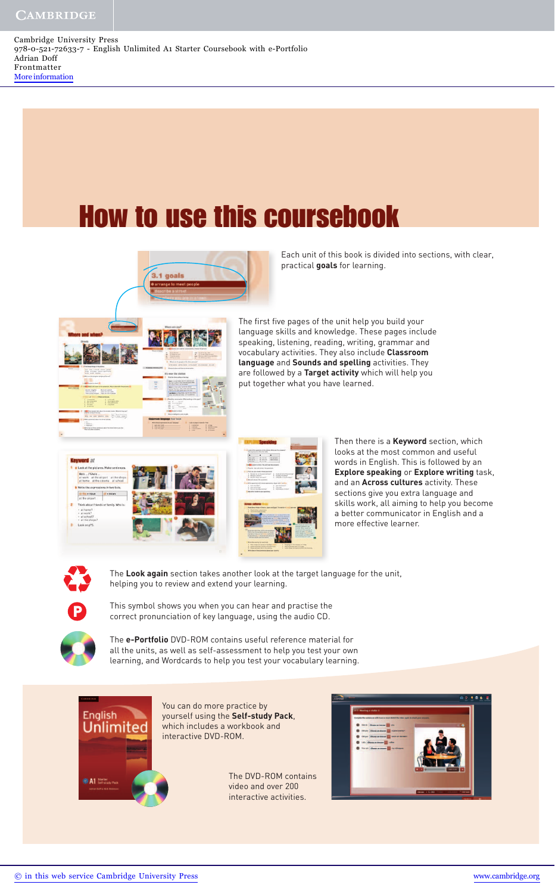Cambridge University Press 978-0-521-72633-7 - English Unlimited A1 Starter Coursebook with e-Portfolio Adrian Doff Frontmatter [More information](http://www.cambridge.org/9780521726337)

# How to use this coursebook



Each unit of this book is divided into sections, with clear, practical **goals** for learning.

The first five pages of the unit help you build your language skills and knowledge. These pages include speaking, listening, reading, writing, grammar and vocabulary activities. They also include **Classroom language** and **Sounds and spelling** activities. They are followed by a **Target activity** which will help you put together what you have learned.







Then there is a **Keyword** section, which looks at the most common and useful words in English. This is followed by an **Explore speaking** or **Explore writing** task, and an **Across cultures** activity. These sections give you extra language and skills work, all aiming to help you become a better communicator in English and a more effective learner.



The **Look again** section takes another look at the target language for the unit, helping you to review and extend your learning.



This symbol shows you when you can hear and practise the correct pronunciation of key language, using the audio CD.

The **e-Portfolio** DVD-ROM contains useful reference material for all the units, as well as self-assessment to help you test your own learning, and Wordcards to help you test your vocabulary learning.



You can do more practice by yourself using the **Self-study Pack**, which includes a workbook and interactive DVD-ROM.

> The DVD-ROM contains video and over 200 interactive activities.

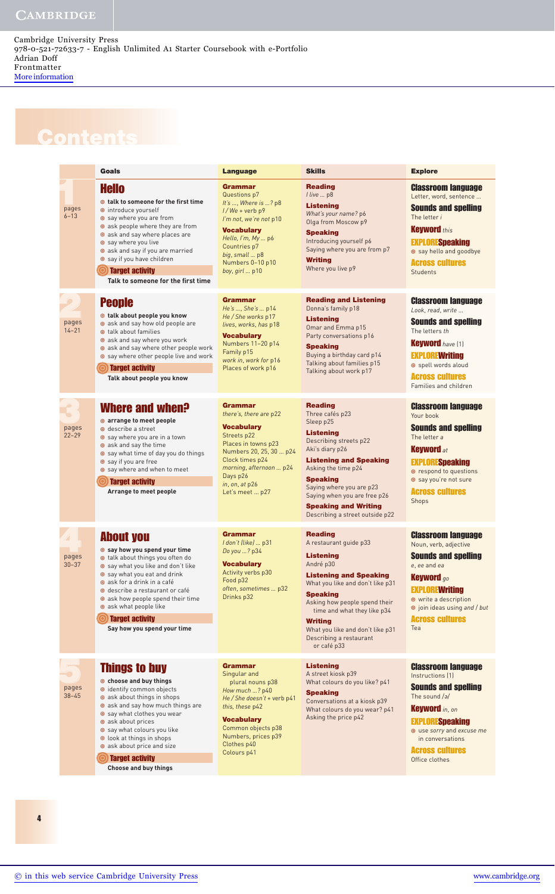## **Contents**

|                    | Goals                                                                                                                                                                                                                                                                                                                                             | <b>Language</b>                                                                                                                                                                                                               | <b>Skills</b>                                                                                                                                                                                                                                                                                                                     | <b>Explore</b>                                                                                                                                                                                                                         |
|--------------------|---------------------------------------------------------------------------------------------------------------------------------------------------------------------------------------------------------------------------------------------------------------------------------------------------------------------------------------------------|-------------------------------------------------------------------------------------------------------------------------------------------------------------------------------------------------------------------------------|-----------------------------------------------------------------------------------------------------------------------------------------------------------------------------------------------------------------------------------------------------------------------------------------------------------------------------------|----------------------------------------------------------------------------------------------------------------------------------------------------------------------------------------------------------------------------------------|
| pages<br>$6 - 13$  | <b>Hello</b><br>◎ talk to someone for the first time<br>● introduce yourself<br>● say where you are from<br>• ask people where they are from<br>• ask and say where places are<br>Say where you live<br>ask and say if you are married<br>● say if you have children<br><b>Target activity</b><br>Talk to someone for the first time              | Grammar<br>Questions p7<br>It's , Where is ? p8<br>$1/We +$ verb p9<br>I'm not, we're not p10<br><b>Vocabulary</b><br>Hello, I'm, My  p6<br>Countries p7<br>big, small  p8<br>Numbers 0-10 p10<br>boy, girl  p10              | <b>Reading</b><br>I live  p8<br><b>Listening</b><br>What's your name? p6<br>Olga from Moscow p9<br><b>Speaking</b><br>Introducing yourself p6<br>Saying where you are from p7<br><b>Writing</b><br>Where you live p9                                                                                                              | <b>Classroom language</b><br>Letter, word, sentence<br><b>Sounds and spelling</b><br>The letter i<br><b>Keyword</b> this<br><b>EXPLORESpeaking</b><br>Say hello and goodbye<br><b>Across cultures</b><br><b>Students</b>               |
| pages<br>$14 - 21$ | <b>People</b><br>● talk about people you know<br>ask and say how old people are<br><b>O</b> talk about families<br>● ask and say where you work<br>ask and say where other people work<br>Say where other people live and work<br><b>Target activity</b><br>Talk about people you know                                                            | Grammar<br>He's , She's  p14<br>He / She works p17<br>lives, works, has p18<br><b>Vocabulary</b><br>Numbers 11-20 p14<br>Family p15<br>work in, work for p16<br>Places of work p16                                            | <b>Reading and Listening</b><br>Donna's family p18<br><b>Listening</b><br>Omar and Emma p15<br>Party conversations p16<br><b>Speaking</b><br>Buying a birthday card p14<br>Talking about families p15<br>Talking about work p17                                                                                                   | <b>Classroom language</b><br>Look, read, write<br><b>Sounds and spelling</b><br>The letters th<br><b>Keyword</b> have (1)<br><b>EXPLOREWriting</b><br>Spell words aloud<br><b>Across cultures</b><br>Families and children             |
| pages<br>$22 - 29$ | Where and when?<br>◎ arrange to meet people<br>● describe a street<br>● say where you are in a town<br>● ask and say the time<br>Say what time of day you do things<br>Say if you are free<br>Say where and when to meet<br><b>Target activity</b><br>Arrange to meet people                                                                      | <b>Grammar</b><br>there's, there are p22<br><b>Vocabulary</b><br>Streets p22<br>Places in towns p23<br>Numbers 20, 25, 30  p24<br>Clock times p24<br>morning, afternoon  p24<br>Days p26<br>in, on, at p26<br>Let's meet  p27 | <b>Reading</b><br>Three cafés p23<br>Sleep p25<br><b>Listening</b><br>Describing streets p22<br>Aki's diary p26<br><b>Listening and Speaking</b><br>Asking the time p24<br><b>Speaking</b><br>Saying where you are p23<br>Saying when you are free p26<br><b>Speaking and Writing</b><br>Describing a street outside p22          | <b>Classroom language</b><br>Your book<br><b>Sounds and spelling</b><br>The letter a<br><b>Keyword</b> at<br><b>EXPLORESpeaking</b><br>● respond to questions<br>Say you're not sure<br><b>Across cultures</b><br><b>Shops</b>         |
| pages<br>$30 - 37$ | <b>About you</b><br>Say how you spend your time<br>● talk about things you often do<br>● say what you like and don't like<br>● say what you eat and drink<br>● ask for a drink in a café<br>● describe a restaurant or café<br>ask how people spend their time<br>• ask what people like<br><b>Target activity</b><br>Say how you spend your time | Grammar<br>I don't (like)  p31<br>Do you ? p34<br><b>Vocabulary</b><br>Activity verbs p30<br>Food p32<br>often, sometimes  p32<br>Drinks p32                                                                                  | <b>Reading</b><br>A restaurant guide p33<br><b>Listening</b><br>André p30<br><b>Listening and Speaking</b><br>What you like and don't like p31<br><b>Speaking</b><br>Asking how people spend their<br>time and what they like p34<br><b>Writing</b><br>What you like and don't like p31<br>Describing a restaurant<br>or café p33 | <b>Classroom language</b><br>Noun, verb, adjective<br><b>Sounds and spelling</b><br>e, ee and ea<br><b>Keyword</b> go<br><b>EXPLOREWriting</b><br>● write a description<br>loin ideas using and / but<br><b>Across cultures</b><br>Tea |
| pages<br>$38 - 45$ | <b>Things to buy</b><br>◎ choose and buy things<br>leantify common objects<br>● ask about things in shops<br>• ask and say how much things are<br>● say what clothes you wear<br>● ask about prices                                                                                                                                               | Grammar<br>Singular and<br>plural nouns p38<br>How much ? p40<br>He / She doesn't + verb p41<br>this, these p42<br><b>Vocabulary</b>                                                                                          | <b>Listening</b><br>A street kiosk p39<br>What colours do you like? p41<br><b>Speaking</b><br>Conversations at a kiosk p39<br>What colours do you wear? p41<br>Asking the price p42                                                                                                                                               | <b>Classroom language</b><br>Instructions [1]<br><b>Sounds and spelling</b><br>The sound $\sqrt{a}$<br><b>Keyword</b> in, on<br><b>EXPLORESpeaking</b>                                                                                 |

Common objects p38 Numbers, prices p39 Clothes p40 Colours p41

 use *sorry* and *excuse me* in conversations

Across cultures Office clothes

4

 ask about prices say what colours you like look at things in shops ask about price and size

**Search Target activity** 

 **Choose and buy things**